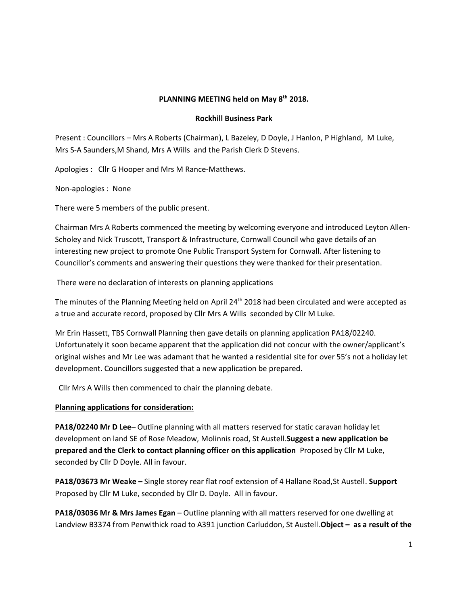## **PLANNING MEETING held on May 8th 2018.**

### **Rockhill Business Park**

Present : Councillors – Mrs A Roberts (Chairman), L Bazeley, D Doyle, J Hanlon, P Highland, M Luke, Mrs S-A Saunders,M Shand, Mrs A Wills and the Parish Clerk D Stevens.

Apologies : Cllr G Hooper and Mrs M Rance-Matthews.

Non-apologies : None

There were 5 members of the public present.

Chairman Mrs A Roberts commenced the meeting by welcoming everyone and introduced Leyton Allen-Scholey and Nick Truscott, Transport & Infrastructure, Cornwall Council who gave details of an interesting new project to promote One Public Transport System for Cornwall. After listening to Councillor's comments and answering their questions they were thanked for their presentation.

There were no declaration of interests on planning applications

The minutes of the Planning Meeting held on April 24<sup>th</sup> 2018 had been circulated and were accepted as a true and accurate record, proposed by Cllr Mrs A Wills seconded by Cllr M Luke.

Mr Erin Hassett, TBS Cornwall Planning then gave details on planning application PA18/02240. Unfortunately it soon became apparent that the application did not concur with the owner/applicant's original wishes and Mr Lee was adamant that he wanted a residential site for over 55's not a holiday let development. Councillors suggested that a new application be prepared.

Cllr Mrs A Wills then commenced to chair the planning debate.

### **Planning applications for consideration:**

**PA18/02240 Mr D Lee–** Outline planning with all matters reserved for static caravan holiday let development on land SE of Rose Meadow, Molinnis road, St Austell.**Suggest a new application be prepared and the Clerk to contact planning officer on this application** Proposed by Cllr M Luke, seconded by Cllr D Doyle. All in favour.

**PA18/03673 Mr Weake –** Single storey rear flat roof extension of 4 Hallane Road,St Austell. **Support** Proposed by Cllr M Luke, seconded by Cllr D. Doyle. All in favour.

**PA18/03036 Mr & Mrs James Egan** – Outline planning with all matters reserved for one dwelling at Landview B3374 from Penwithick road to A391 junction Carluddon, St Austell.**Object – as a result of the**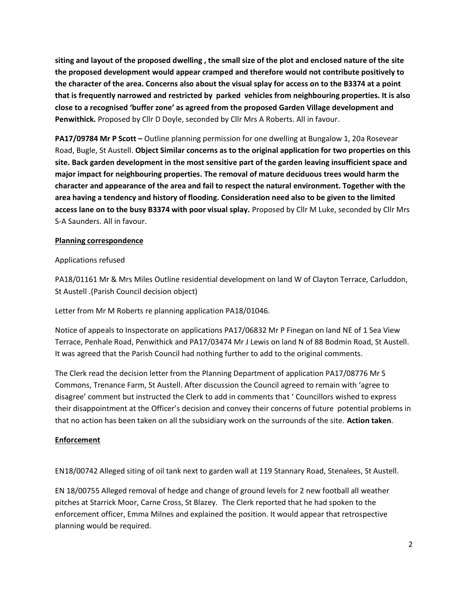**siting and layout of the proposed dwelling , the small size of the plot and enclosed nature of the site the proposed development would appear cramped and therefore would not contribute positively to the character of the area. Concerns also about the visual splay for access on to the B3374 at a point that is frequently narrowed and restricted by parked vehicles from neighbouring properties. It is also close to a recognised 'buffer zone' as agreed from the proposed Garden Village development and Penwithick.** Proposed by Cllr D Doyle, seconded by Cllr Mrs A Roberts. All in favour.

**PA17/09784 Mr P Scott –** Outline planning permission for one dwelling at Bungalow 1, 20a Rosevear Road, Bugle, St Austell. **Object Similar concerns as to the original application for two properties on this site. Back garden development in the most sensitive part of the garden leaving insufficient space and major impact for neighbouring properties. The removal of mature deciduous trees would harm the character and appearance of the area and fail to respect the natural environment. Together with the area having a tendency and history of flooding. Consideration need also to be given to the limited access lane on to the busy B3374 with poor visual splay.** Proposed by Cllr M Luke, seconded by Cllr Mrs S-A Saunders. All in favour.

# **Planning correspondence**

## Applications refused

PA18/01161 Mr & Mrs Miles Outline residential development on land W of Clayton Terrace, Carluddon, St Austell .(Parish Council decision object)

Letter from Mr M Roberts re planning application PA18/01046.

Notice of appeals to Inspectorate on applications PA17/06832 Mr P Finegan on land NE of 1 Sea View Terrace, Penhale Road, Penwithick and PA17/03474 Mr J Lewis on land N of 88 Bodmin Road, St Austell. It was agreed that the Parish Council had nothing further to add to the original comments.

The Clerk read the decision letter from the Planning Department of application PA17/08776 Mr S Commons, Trenance Farm, St Austell. After discussion the Council agreed to remain with 'agree to disagree' comment but instructed the Clerk to add in comments that ' Councillors wished to express their disappointment at the Officer's decision and convey their concerns of future potential problems in that no action has been taken on all the subsidiary work on the surrounds of the site. **Action taken**.

### **Enforcement**

EN18/00742 Alleged siting of oil tank next to garden wall at 119 Stannary Road, Stenalees, St Austell.

EN 18/00755 Alleged removal of hedge and change of ground levels for 2 new football all weather pitches at Starrick Moor, Carne Cross, St Blazey. The Clerk reported that he had spoken to the enforcement officer, Emma Milnes and explained the position. It would appear that retrospective planning would be required.